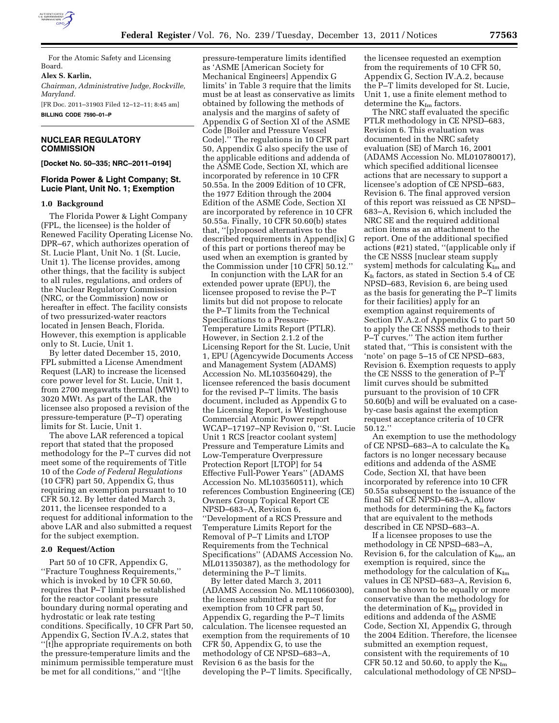

For the Atomic Safety and Licensing Board.

**Alex S. Karlin,**  *Chairman, Administrative Judge, Rockville, Maryland.*  [FR Doc. 2011–31903 Filed 12–12–11; 8:45 am]

**BILLING CODE 7590–01–P** 

# **NUCLEAR REGULATORY COMMISSION**

**[Docket No. 50–335; NRC–2011–0194]** 

# **Florida Power & Light Company; St. Lucie Plant, Unit No. 1; Exemption**

#### **1.0 Background**

The Florida Power & Light Company (FPL, the licensee) is the holder of Renewed Facility Operating License No. DPR–67, which authorizes operation of St. Lucie Plant, Unit No. 1 (St. Lucie, Unit 1). The license provides, among other things, that the facility is subject to all rules, regulations, and orders of the Nuclear Regulatory Commission (NRC, or the Commission) now or hereafter in effect. The facility consists of two pressurized-water reactors located in Jensen Beach, Florida. However, this exemption is applicable only to St. Lucie, Unit 1.

By letter dated December 15, 2010, FPL submitted a License Amendment Request (LAR) to increase the licensed core power level for St. Lucie, Unit 1, from 2700 megawatts thermal (MWt) to 3020 MWt. As part of the LAR, the licensee also proposed a revision of the pressure-temperature (P–T) operating limits for St. Lucie, Unit 1.

The above LAR referenced a topical report that stated that the proposed methodology for the P–T curves did not meet some of the requirements of Title 10 of the *Code of Federal Regulations*  (10 CFR) part 50, Appendix G, thus requiring an exemption pursuant to 10 CFR 50.12. By letter dated March 3, 2011, the licensee responded to a request for additional information to the above LAR and also submitted a request for the subject exemption.

#### **2.0 Request/Action**

Part 50 of 10 CFR, Appendix G, ''Fracture Toughness Requirements,'' which is invoked by 10 CFR 50.60, requires that P–T limits be established for the reactor coolant pressure boundary during normal operating and hydrostatic or leak rate testing conditions. Specifically, 10 CFR Part 50, Appendix G, Section IV.A.2, states that ''[t]he appropriate requirements on both the pressure-temperature limits and the minimum permissible temperature must be met for all conditions,'' and ''[t]he

pressure-temperature limits identified as 'ASME [American Society for Mechanical Engineers] Appendix G limits' in Table 3 require that the limits must be at least as conservative as limits obtained by following the methods of analysis and the margins of safety of Appendix G of Section XI of the ASME Code [Boiler and Pressure Vessel Code].'' The regulations in 10 CFR part 50, Appendix G also specify the use of the applicable editions and addenda of the ASME Code, Section XI, which are incorporated by reference in 10 CFR 50.55a. In the 2009 Edition of 10 CFR, the 1977 Edition through the 2004 Edition of the ASME Code, Section XI are incorporated by reference in 10 CFR 50.55a. Finally, 10 CFR 50.60(b) states that, ''[p]roposed alternatives to the described requirements in Append[ix] G of this part or portions thereof may be used when an exemption is granted by the Commission under [10 CFR] 50.12.''

In conjunction with the LAR for an extended power uprate (EPU), the licensee proposed to revise the P–T limits but did not propose to relocate the P–T limits from the Technical Specifications to a Pressure-Temperature Limits Report (PTLR). However, in Section 2.1.2 of the Licensing Report for the St. Lucie, Unit 1, EPU (Agencywide Documents Access and Management System (ADAMS) Accession No. ML103560429), the licensee referenced the basis document for the revised P–T limits. The basis document, included as Appendix G to the Licensing Report, is Westinghouse Commercial Atomic Power report WCAP–17197–NP Revision 0, ''St. Lucie Unit 1 RCS [reactor coolant system] Pressure and Temperature Limits and Low-Temperature Overpressure Protection Report [LTOP] for 54 Effective Full-Power Years'' (ADAMS Accession No. ML103560511), which references Combustion Engineering (CE) Owners Group Topical Report CE NPSD–683–A, Revision 6, ''Development of a RCS Pressure and Temperature Limits Report for the Removal of P–T Limits and LTOP Requirements from the Technical Specifications'' (ADAMS Accession No. ML011350387), as the methodology for determining the P–T limits.

By letter dated March 3, 2011 (ADAMS Accession No. ML110660300), the licensee submitted a request for exemption from 10 CFR part 50, Appendix G, regarding the P–T limits calculation. The licensee requested an exemption from the requirements of 10 CFR 50, Appendix G, to use the methodology of CE NPSD–683–A, Revision 6 as the basis for the developing the P–T limits. Specifically,

the licensee requested an exemption from the requirements of 10 CFR 50, Appendix G, Section IV.A.2, because the P–T limits developed for St. Lucie, Unit 1, use a finite element method to determine the K<sub>Im</sub> factors.

The NRC staff evaluated the specific PTLR methodology in CE NPSD–683, Revision 6. This evaluation was documented in the NRC safety evaluation (SE) of March 16, 2001 (ADAMS Accession No. ML010780017), which specified additional licensee actions that are necessary to support a licensee's adoption of CE NPSD–683, Revision 6. The final approved version of this report was reissued as CE NPSD– 683–A, Revision 6, which included the NRC SE and the required additional action items as an attachment to the report. One of the additional specified actions (#21) stated, ''(applicable only if the CE NSSS [nuclear steam supply system] methods for calculating  $K_{Im}$  and  $K_{It}$  factors, as stated in Section 5.4 of CE NPSD–683, Revision 6, are being used as the basis for generating the P–T limits for their facilities) apply for an exemption against requirements of Section IV.A.2.of Appendix G to part 50 to apply the CE NSSS methods to their P–T curves.'' The action item further stated that, ''This is consistent with the 'note' on page 5–15 of CE NPSD–683, Revision 6. Exemption requests to apply the CE NSSS to the generation of P–T limit curves should be submitted pursuant to the provision of 10 CFR 50.60(b) and will be evaluated on a caseby-case basis against the exemption request acceptance criteria of 10 CFR 50.12.''

An exemption to use the methodology of CE NPSD–683–A to calculate the  $K_{\text{It}}$ factors is no longer necessary because editions and addenda of the ASME Code, Section XI, that have been incorporated by reference into 10 CFR 50.55a subsequent to the issuance of the final SE of CE NPSD–683–A, allow methods for determining the  $K_{It}$  factors that are equivalent to the methods described in CE NPSD–683–A.

If a licensee proposes to use the methodology in CE NPSD–683–A, Revision 6, for the calculation of  $K_{Im}$ , an exemption is required, since the methodology for the calculation of  $K_{Im}$ values in CE NPSD–683–A, Revision 6, cannot be shown to be equally or more conservative than the methodology for the determination of  $K_{Im}$  provided in editions and addenda of the ASME Code, Section XI, Appendix G, through the 2004 Edition. Therefore, the licensee submitted an exemption request, consistent with the requirements of 10 CFR 50.12 and 50.60, to apply the  $K_{Im}$ calculational methodology of CE NPSD–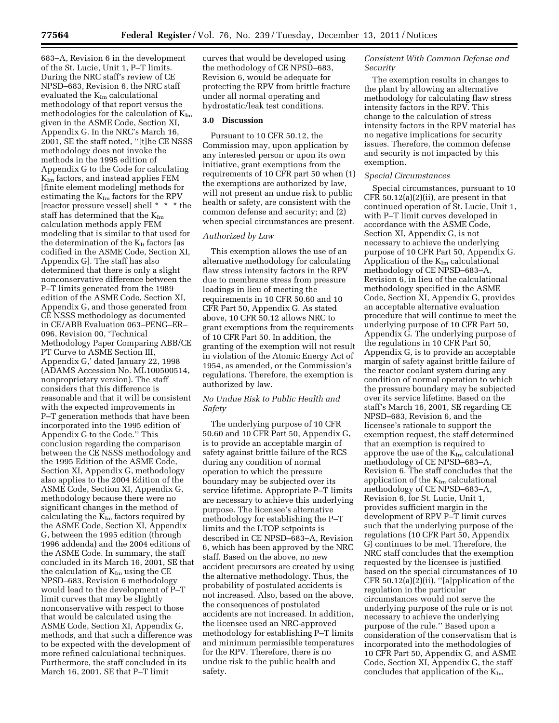683–A, Revision 6 in the development of the St. Lucie, Unit 1, P–T limits. During the NRC staff's review of CE NPSD–683, Revision 6, the NRC staff evaluated the  $K_{Im}$  calculational methodology of that report versus the methodologies for the calculation of  $K_{Im}$ given in the ASME Code, Section XI, Appendix G. In the NRC's March 16, 2001, SE the staff noted, ''[t]he CE NSSS methodology does not invoke the methods in the 1995 edition of Appendix G to the Code for calculating  $K_{Im}$  factors, and instead applies FEM [finite element modeling] methods for estimating the  $K_{Im}$  factors for the RPV [reactor pressure vessel] shell \* \* \* the staff has determined that the KIm calculation methods apply FEM modeling that is similar to that used for the determination of the  $K_{\text{It}}$  factors [as codified in the ASME Code, Section XI, Appendix G]. The staff has also determined that there is only a slight nonconservative difference between the P–T limits generated from the 1989 edition of the ASME Code, Section XI, Appendix G, and those generated from CE NSSS methodology as documented in CE/ABB Evaluation 063–PENG–ER– 096, Revision 00, 'Technical Methodology Paper Comparing ABB/CE PT Curve to ASME Section III, Appendix G,' dated January 22, 1998 (ADAMS Accession No. ML100500514, nonproprietary version). The staff considers that this difference is reasonable and that it will be consistent with the expected improvements in P–T generation methods that have been incorporated into the 1995 edition of Appendix G to the Code.'' This conclusion regarding the comparison between the CE NSSS methodology and the 1995 Edition of the ASME Code, Section XI, Appendix G, methodology also applies to the 2004 Edition of the ASME Code, Section XI, Appendix G, methodology because there were no significant changes in the method of calculating the  $K_{Im}$  factors required by the ASME Code, Section XI, Appendix G, between the 1995 edition (through 1996 addenda) and the 2004 editions of the ASME Code. In summary, the staff concluded in its March 16, 2001, SE that the calculation of  $K_{Im}$  using the CE NPSD–683, Revision 6 methodology would lead to the development of P–T limit curves that may be slightly nonconservative with respect to those that would be calculated using the ASME Code, Section XI, Appendix G, methods, and that such a difference was to be expected with the development of more refined calculational techniques. Furthermore, the staff concluded in its March 16, 2001, SE that P–T limit

curves that would be developed using the methodology of CE NPSD–683, Revision 6, would be adequate for protecting the RPV from brittle fracture under all normal operating and hydrostatic/leak test conditions.

# **3.0 Discussion**

Pursuant to 10 CFR 50.12, the Commission may, upon application by any interested person or upon its own initiative, grant exemptions from the requirements of 10 CFR part 50 when (1) the exemptions are authorized by law, will not present an undue risk to public health or safety, are consistent with the common defense and security; and (2) when special circumstances are present.

### *Authorized by Law*

This exemption allows the use of an alternative methodology for calculating flaw stress intensity factors in the RPV due to membrane stress from pressure loadings in lieu of meeting the requirements in 10 CFR 50.60 and 10 CFR Part 50, Appendix G. As stated above, 10 CFR 50.12 allows NRC to grant exemptions from the requirements of 10 CFR Part 50. In addition, the granting of the exemption will not result in violation of the Atomic Energy Act of 1954, as amended, or the Commission's regulations. Therefore, the exemption is authorized by law.

### *No Undue Risk to Public Health and Safety*

The underlying purpose of 10 CFR 50.60 and 10 CFR Part 50, Appendix G, is to provide an acceptable margin of safety against brittle failure of the RCS during any condition of normal operation to which the pressure boundary may be subjected over its service lifetime. Appropriate P–T limits are necessary to achieve this underlying purpose. The licensee's alternative methodology for establishing the P–T limits and the LTOP setpoints is described in CE NPSD–683–A, Revision 6, which has been approved by the NRC staff. Based on the above, no new accident precursors are created by using the alternative methodology. Thus, the probability of postulated accidents is not increased. Also, based on the above, the consequences of postulated accidents are not increased. In addition, the licensee used an NRC-approved methodology for establishing P–T limits and minimum permissible temperatures for the RPV. Therefore, there is no undue risk to the public health and safety.

# *Consistent With Common Defense and Security*

The exemption results in changes to the plant by allowing an alternative methodology for calculating flaw stress intensity factors in the RPV. This change to the calculation of stress intensity factors in the RPV material has no negative implications for security issues. Therefore, the common defense and security is not impacted by this exemption.

### *Special Circumstances*

Special circumstances, pursuant to 10 CFR  $50.12(a)(2)(ii)$ , are present in that continued operation of St. Lucie, Unit 1, with P–T limit curves developed in accordance with the ASME Code, Section XI, Appendix G, is not necessary to achieve the underlying purpose of 10 CFR Part 50, Appendix G. Application of the  $K_{Im}$  calculational methodology of CE NPSD–683–A, Revision 6, in lieu of the calculational methodology specified in the ASME Code, Section XI, Appendix G, provides an acceptable alternative evaluation procedure that will continue to meet the underlying purpose of 10 CFR Part 50, Appendix G. The underlying purpose of the regulations in 10 CFR Part 50, Appendix G, is to provide an acceptable margin of safety against brittle failure of the reactor coolant system during any condition of normal operation to which the pressure boundary may be subjected over its service lifetime. Based on the staff's March 16, 2001, SE regarding CE NPSD–683, Revision 6, and the licensee's rationale to support the exemption request, the staff determined that an exemption is required to approve the use of the KIm calculational methodology of CE NPSD–683–A, Revision 6. The staff concludes that the application of the  $K_{Im}$  calculational methodology of CE NPSD–683–A, Revision 6, for St. Lucie, Unit 1, provides sufficient margin in the development of RPV P–T limit curves such that the underlying purpose of the regulations (10 CFR Part 50, Appendix G) continues to be met. Therefore, the NRC staff concludes that the exemption requested by the licensee is justified based on the special circumstances of 10 CFR  $50.12(a)(2)(ii)$ , "[a]pplication of the regulation in the particular circumstances would not serve the underlying purpose of the rule or is not necessary to achieve the underlying purpose of the rule.'' Based upon a consideration of the conservatism that is incorporated into the methodologies of 10 CFR Part 50, Appendix G, and ASME Code, Section XI, Appendix G, the staff concludes that application of the  $K_{Im}$